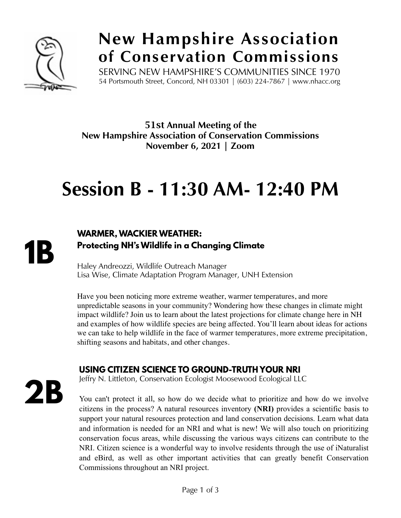

### **New Hampshire Association of Conservation Commissions**

SERVING NEW HAMPSHIRE'S COMMUNITIES SINCE 1970 54 Portsmouth Street, Concord, NH 03301 | (603) 224-7867 | www.nhacc.org

51st **Annual Meeting of the New Hampshire Association of Conservation Commissions November 6, 2021 | Zoom**

## **Session B - 11:30 AM- 12:40 PM**

**1B**

#### **WARMER, WACKIER WEATHER: Protecting NH's Wildlife in a Changing Climate**

Haley Andreozzi, Wildlife Outreach Manager Lisa Wise, Climate Adaptation Program Manager, UNH Extension

Have you been noticing more extreme weather, warmer temperatures, and more unpredictable seasons in your community? Wondering how these changes in climate might impact wildlife? Join us to learn about the latest projections for climate change here in NH and examples of how wildlife species are being affected. You'll learn about ideas for actions we can take to help wildlife in the face of warmer temperatures, more extreme precipitation, shifting seasons and habitats, and other changes.

#### **USING CITIZEN SCIENCE TO GROUND-TRUTH YOUR NRI**

**2B**

Jeffry N. Littleton, Conservation Ecologist Moosewood Ecological LLC

You can't protect it all, so how do we decide what to prioritize and how do we involve citizens in the process? A natural resources inventory **(NRI)** provides a scientific basis to support your natural resources protection and land conservation decisions. Learn what data and information is needed for an NRI and what is new! We will also touch on prioritizing conservation focus areas, while discussing the various ways citizens can contribute to the NRI. Citizen science is a wonderful way to involve residents through the use of iNaturalist and eBird, as well as other important activities that can greatly benefit Conservation Commissions throughout an NRI project.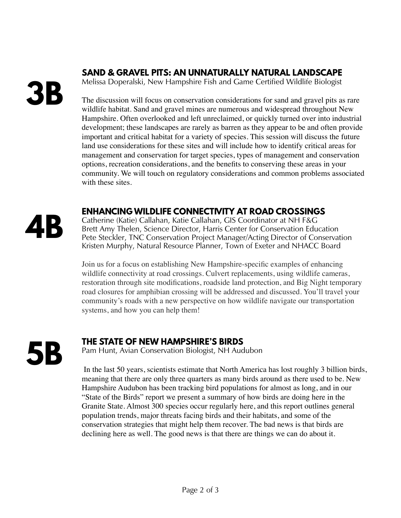## **3B**

#### **SAND & GRAVEL PITS: AN UNNATURALLY NATURAL LANDSCAPE**

Melissa Doperalski, New Hampshire Fish and Game Certified Wildlife Biologist

The discussion will focus on conservation considerations for sand and gravel pits as rare wildlife habitat. Sand and gravel mines are numerous and widespread throughout New Hampshire. Often overlooked and left unreclaimed, or quickly turned over into industrial development; these landscapes are rarely as barren as they appear to be and often provide important and critical habitat for a variety of species. This session will discuss the future land use considerations for these sites and will include how to identify critical areas for management and conservation for target species, types of management and conservation options, recreation considerations, and the benefits to conserving these areas in your community. We will touch on regulatory considerations and common problems associated with these sites.

# **4B**

#### **ENHANCING WILDLIFE CONNECTIVITY AT ROAD CROSSINGS**

Catherine (Katie) Callahan, Katie Callahan, GIS Coordinator at NH F&G Brett Amy Thelen, Science Director, Harris Center for Conservation Education Pete Steckler, TNC Conservation Project Manager/Acting Director of Conservation Kristen Murphy, Natural Resource Planner, Town of Exeter and NHACC Board

Join us for a focus on establishing New Hampshire-specific examples of enhancing wildlife connectivity at road crossings. Culvert replacements, using wildlife cameras, restoration through site modifications, roadside land protection, and Big Night temporary road closures for amphibian crossing will be addressed and discussed. You'll travel your community's roads with a new perspective on how wildlife navigate our transportation systems, and how you can help them!

**5B**

#### **THE STATE OF NEW HAMPSHIRE'S BIRDS**

Pam Hunt, Avian Conservation Biologist, NH Audubon

 In the last 50 years, scientists estimate that North America has lost roughly 3 billion birds, meaning that there are only three quarters as many birds around as there used to be. New Hampshire Audubon has been tracking bird populations for almost as long, and in our "State of the Birds" report we present a summary of how birds are doing here in the Granite State. Almost 300 species occur regularly here, and this report outlines general population trends, major threats facing birds and their habitats, and some of the conservation strategies that might help them recover. The bad news is that birds are declining here as well. The good news is that there are things we can do about it.